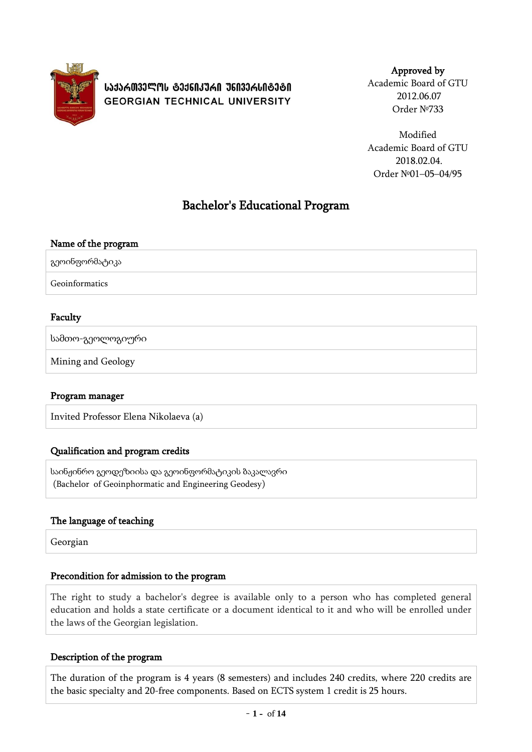

**ᲡᲐᲥᲐᲠᲗᲕᲔᲚᲝᲡ ᲢᲔᲥᲜᲘᲙᲣᲠᲘ ᲣᲜᲘᲕᲔᲠᲡᲘᲢᲔᲢᲘ GEORGIAN TECHNICAL UNIVERSITY** 

Approved by

Academic Board of GTU 2012.06.07 Order №733

Modified Academic Board of GTU 2018.02.04. Order №01–05–04/95

# Bachelor's Educational Program

| Name of the program |  |
|---------------------|--|
| გეოინფორმატიკა      |  |
| Geoinformatics      |  |

## Faculty

სამთო-გეოლოგიური

Mining and Geology

## Program manager

Invited Professor Elena Nikolaeva (a)

## Qualification and program credits

საინჟინრო გეოდეზიისა და გეოინფორმატიკის ბაკალავრი (Bachelor of Geoinphormatic and Engineering Geodesy)

## The language of teaching

Georgian

## Precondition for admission to the program

The right to study a bachelor's degree is available only to a person who has completed general education and holds a state certificate or a document identical to it and who will be enrolled under the laws of the Georgian legislation.

## Description of the program

The duration of the program is 4 years (8 semesters) and includes 240 credits, where 220 credits are the basic specialty and 20-free components. Based on ECTS system 1 credit is 25 hours.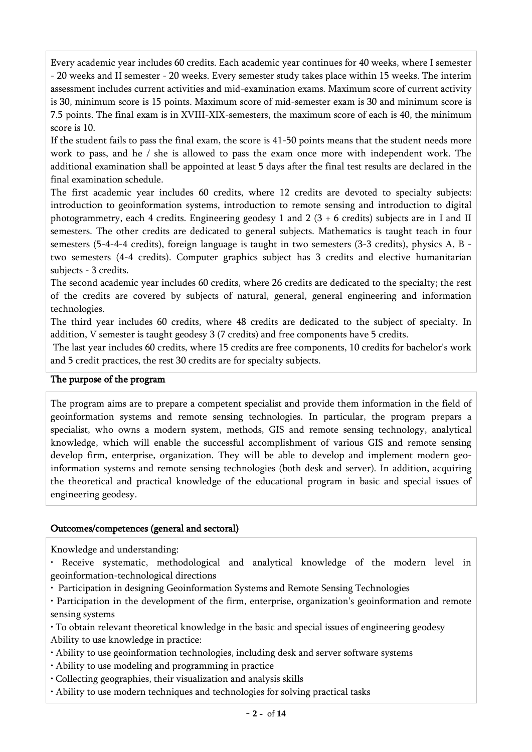Every academic year includes 60 credits. Each academic year continues for 40 weeks, where I semester - 20 weeks and II semester - 20 weeks. Every semester study takes place within 15 weeks. The interim assessment includes current activities and mid-examination exams. Maximum score of current activity is 30, minimum score is 15 points. Maximum score of mid-semester exam is 30 and minimum score is 7.5 points. The final exam is in XVIII-XIX-semesters, the maximum score of each is 40, the minimum score is 10.

If the student fails to pass the final exam, the score is 41-50 points means that the student needs more work to pass, and he / she is allowed to pass the exam once more with independent work. The additional examination shall be appointed at least 5 days after the final test results are declared in the final examination schedule.

The first academic year includes 60 credits, where 12 credits are devoted to specialty subjects: introduction to geoinformation systems, introduction to remote sensing and introduction to digital photogrammetry, each 4 credits. Engineering geodesy 1 and 2 (3 + 6 credits) subjects are in I and II semesters. The other credits are dedicated to general subjects. Mathematics is taught teach in four semesters (5-4-4-4 credits), foreign language is taught in two semesters (3-3 credits), physics A, B two semesters (4-4 credits). Computer graphics subject has 3 credits and elective humanitarian subjects - 3 credits.

The second academic year includes 60 credits, where 26 credits are dedicated to the specialty; the rest of the credits are covered by subjects of natural, general, general engineering and information technologies.

The third year includes 60 credits, where 48 credits are dedicated to the subject of specialty. In addition, V semester is taught geodesy 3 (7 credits) and free components have 5 credits.

The last year includes 60 credits, where 15 credits are free components, 10 credits for bachelor's work and 5 credit practices, the rest 30 credits are for specialty subjects.

## The purpose of the program

The program aims are to prepare a competent specialist and provide them information in the field of geoinformation systems and remote sensing technologies. In particular, the program prepars a specialist, who owns a modern system, methods, GIS and remote sensing technology, analytical knowledge, which will enable the successful accomplishment of various GIS and remote sensing develop firm, enterprise, organization. They will be able to develop and implement modern geoinformation systems and remote sensing technologies (both desk and server). In addition, acquiring the theoretical and practical knowledge of the educational program in basic and special issues of engineering geodesy.

## Outcomes/competences (general and sectoral)

Knowledge and understanding:

- Receive systematic, methodological and analytical knowledge of the modern level in geoinformation-technological directions
- Participation in designing Geoinformation Systems and Remote Sensing Technologies

• Participation in the development of the firm, enterprise, organization's geoinformation and remote sensing systems

• To obtain relevant theoretical knowledge in the basic and special issues of engineering geodesy Ability to use knowledge in practice:

- Ability to use geoinformation technologies, including desk and server software systems
- Ability to use modeling and programming in practice
- Collecting geographies, their visualization and analysis skills
- Ability to use modern techniques and technologies for solving practical tasks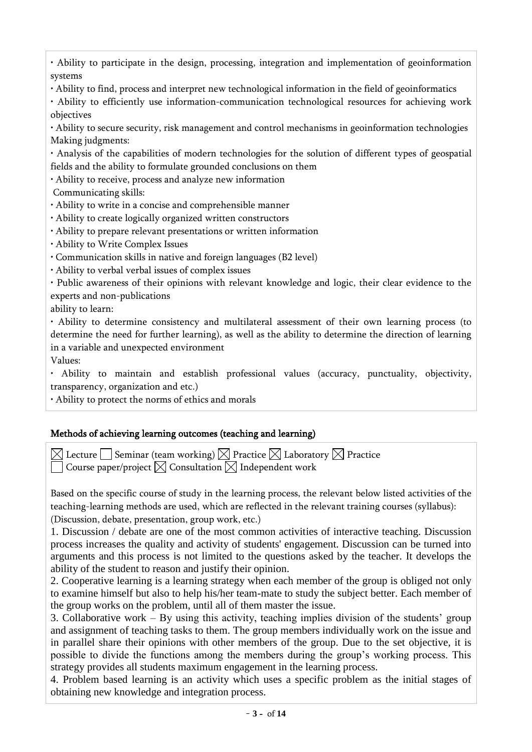• Ability to participate in the design, processing, integration and implementation of geoinformation systems

• Ability to find, process and interpret new technological information in the field of geoinformatics

• Ability to efficiently use information-communication technological resources for achieving work objectives

• Ability to secure security, risk management and control mechanisms in geoinformation technologies Making judgments:

• Analysis of the capabilities of modern technologies for the solution of different types of geospatial fields and the ability to formulate grounded conclusions on them

• Ability to receive, process and analyze new information

Communicating skills:

• Ability to write in a concise and comprehensible manner

• Ability to create logically organized written constructors

• Ability to prepare relevant presentations or written information

• Ability to Write Complex Issues

• Communication skills in native and foreign languages (B2 level)

• Ability to verbal verbal issues of complex issues

• Public awareness of their opinions with relevant knowledge and logic, their clear evidence to the experts and non-publications

ability to learn:

• Ability to determine consistency and multilateral assessment of their own learning process (to determine the need for further learning), as well as the ability to determine the direction of learning in a variable and unexpected environment

Values:

• Ability to maintain and establish professional values (accuracy, punctuality, objectivity, transparency, organization and etc.)

• Ability to protect the norms of ethics and morals

## Methods of achieving learning outcomes (teaching and learning)

 $\boxtimes$  Lecture  $\Box$  Seminar (team working)  $\boxtimes$  Practice  $\boxtimes$  Laboratory  $\boxtimes$  Practice Course paper/project  $\boxtimes$  Consultation  $\boxtimes$  Independent work

Based on the specific course of study in the learning process, the relevant below listed activities of the teaching-learning methods are used, which are reflected in the relevant training courses (syllabus): (Discussion, debate, presentation, group work, etc.)

1. Discussion / debate are one of the most common activities of interactive teaching. Discussion process increases the quality and activity of students' engagement. Discussion can be turned into arguments and this process is not limited to the questions asked by the teacher. It develops the ability of the student to reason and justify their opinion.

2. Cooperative learning is a learning strategy when each member of the group is obliged not only to examine himself but also to help his/her team-mate to study the subject better. Each member of the group works on the problem, until all of them master the issue.

3. Collaborative work – By using this activity, teaching implies division of the students' group and assignment of teaching tasks to them. The group members individually work on the issue and in parallel share their opinions with other members of the group. Due to the set objective, it is possible to divide the functions among the members during the group's working process. This strategy provides all students maximum engagement in the learning process.

4. Problem based learning is an activity which uses a specific problem as the initial stages of obtaining new knowledge and integration process.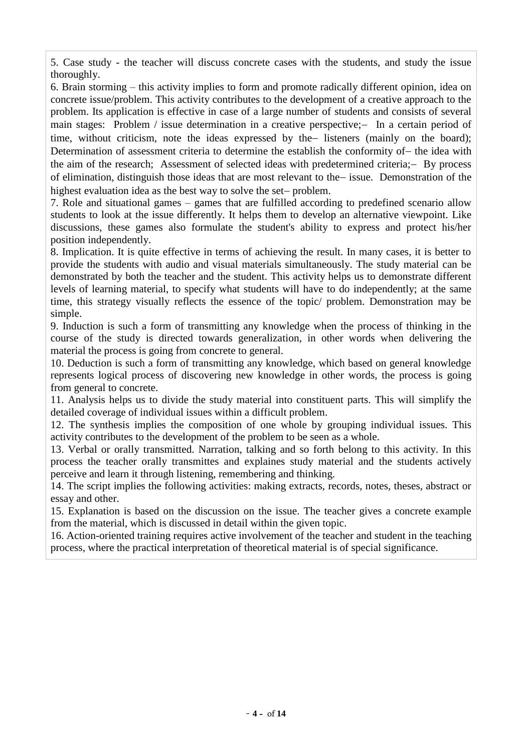5. Case study - the teacher will discuss concrete cases with the students, and study the issue thoroughly.

6. Brain storming – this activity implies to form and promote radically different opinion, idea on concrete issue/problem. This activity contributes to the development of a creative approach to the problem. Its application is effective in case of a large number of students and consists of several main stages: Problem / issue determination in a creative perspective;- In a certain period of time, without criticism, note the ideas expressed by the listeners (mainly on the board); Determination of assessment criteria to determine the establish the conformity of - the idea with the aim of the research; Assessment of selected ideas with predetermined criteria; - By process of elimination, distinguish those ideas that are most relevant to the issue. Demonstration of the highest evaluation idea as the best way to solve the set-problem.

7. Role and situational games – games that are fulfilled according to predefined scenario allow students to look at the issue differently. It helps them to develop an alternative viewpoint. Like discussions, these games also formulate the student's ability to express and protect his/her position independently.

8. Implication. It is quite effective in terms of achieving the result. In many cases, it is better to provide the students with audio and visual materials simultaneously. The study material can be demonstrated by both the teacher and the student. This activity helps us to demonstrate different levels of learning material, to specify what students will have to do independently; at the same time, this strategy visually reflects the essence of the topic/ problem. Demonstration may be simple.

9. Induction is such a form of transmitting any knowledge when the process of thinking in the course of the study is directed towards generalization, in other words when delivering the material the process is going from concrete to general.

10. Deduction is such a form of transmitting any knowledge, which based on general knowledge represents logical process of discovering new knowledge in other words, the process is going from general to concrete.

11. Analysis helps us to divide the study material into constituent parts. This will simplify the detailed coverage of individual issues within a difficult problem.

12. The synthesis implies the composition of one whole by grouping individual issues. This activity contributes to the development of the problem to be seen as a whole.

13. Verbal or orally transmitted. Narration, talking and so forth belong to this activity. In this process the teacher orally transmittes and explaines study material and the students actively perceive and learn it through listening, remembering and thinking.

14. The script implies the following activities: making extracts, records, notes, theses, abstract or essay and other.

15. Explanation is based on the discussion on the issue. The teacher gives a concrete example from the material, which is discussed in detail within the given topic.

16. Action-oriented training requires active involvement of the teacher and student in the teaching process, where the practical interpretation of theoretical material is of special significance.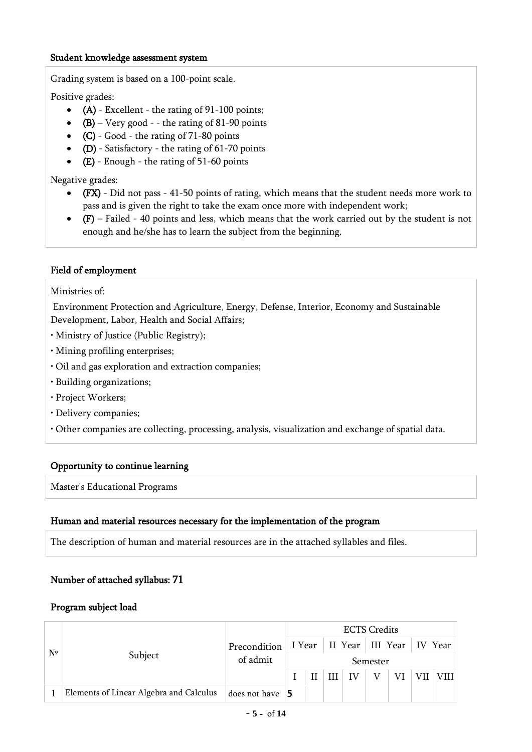#### Student knowledge assessment system

Grading system is based on a 100-point scale.

Positive grades:

- (A) Excellent the rating of 91-100 points;
- $(B)$  Very good - the rating of 81-90 points
- $(C)$  Good the rating of 71-80 points
- (D) Satisfactory the rating of 61-70 points
- $\bullet$  (E) Enough the rating of 51-60 points

Negative grades:

- (FX) Did not pass 41-50 points of rating, which means that the student needs more work to pass and is given the right to take the exam once more with independent work;
- $\bullet$  (F) Failed 40 points and less, which means that the work carried out by the student is not enough and he/she has to learn the subject from the beginning.

## Field of employment

Ministries of:

Environment Protection and Agriculture, Energy, Defense, Interior, Economy and Sustainable Development, Labor, Health and Social Affairs;

- Ministry of Justice (Public Registry);
- Mining profiling enterprises;
- Oil and gas exploration and extraction companies;
- Building organizations;
- Project Workers;
- Delivery companies;
- Other companies are collecting, processing, analysis, visualization and exchange of spatial data.

## Opportunity to continue learning

Master's Educational Programs

## Human and material resources necessary for the implementation of the program

The description of human and material resources are in the attached syllables and files.

## Number of attached syllabus: 71

## Program subject load

|             | Subject                                 |                          | <b>ECTS Credits</b> |  |   |    |                                       |    |  |  |  |  |
|-------------|-----------------------------------------|--------------------------|---------------------|--|---|----|---------------------------------------|----|--|--|--|--|
| $N^{\circ}$ |                                         | Precondition<br>of admit |                     |  |   |    | I Year   II Year   III Year   IV Year |    |  |  |  |  |
|             |                                         |                          | Semester            |  |   |    |                                       |    |  |  |  |  |
|             |                                         |                          |                     |  | Ш | IV |                                       | VI |  |  |  |  |
|             | Elements of Linear Algebra and Calculus | does not have $\vert$ 5  |                     |  |   |    |                                       |    |  |  |  |  |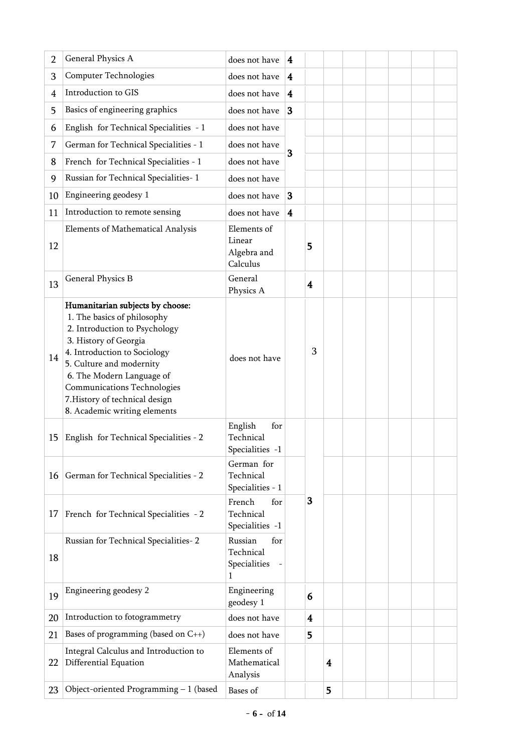| 2              | General Physics A                                                                                                                                                                                                                                                                                                          | does not have                                    | 4                       |                         |   |  |  |  |
|----------------|----------------------------------------------------------------------------------------------------------------------------------------------------------------------------------------------------------------------------------------------------------------------------------------------------------------------------|--------------------------------------------------|-------------------------|-------------------------|---|--|--|--|
| 3              | Computer Technologies                                                                                                                                                                                                                                                                                                      | does not have                                    | $\overline{\mathbf{4}}$ |                         |   |  |  |  |
| $\overline{4}$ | Introduction to GIS                                                                                                                                                                                                                                                                                                        | does not have                                    | $\overline{\mathbf{4}}$ |                         |   |  |  |  |
| 5              | Basics of engineering graphics                                                                                                                                                                                                                                                                                             | does not have                                    | 3                       |                         |   |  |  |  |
| 6              | English for Technical Specialities - 1                                                                                                                                                                                                                                                                                     | does not have                                    |                         |                         |   |  |  |  |
| 7              | German for Technical Specialities - 1                                                                                                                                                                                                                                                                                      | does not have                                    | 3                       |                         |   |  |  |  |
| 8              | French for Technical Specialities - 1                                                                                                                                                                                                                                                                                      | does not have                                    |                         |                         |   |  |  |  |
| 9              | Russian for Technical Specialities-1                                                                                                                                                                                                                                                                                       | does not have                                    |                         |                         |   |  |  |  |
| 10             | Engineering geodesy 1                                                                                                                                                                                                                                                                                                      | does not have                                    | 3                       |                         |   |  |  |  |
| 11             | Introduction to remote sensing                                                                                                                                                                                                                                                                                             | does not have                                    | $\overline{\mathbf{4}}$ |                         |   |  |  |  |
| 12             | Elements of Mathematical Analysis                                                                                                                                                                                                                                                                                          | Elements of<br>Linear<br>Algebra and<br>Calculus |                         | 5                       |   |  |  |  |
| 13             | General Physics B                                                                                                                                                                                                                                                                                                          | General<br>Physics A                             |                         | $\overline{\mathbf{4}}$ |   |  |  |  |
| 14             | Humanitarian subjects by choose:<br>1. The basics of philosophy<br>2. Introduction to Psychology<br>3. History of Georgia<br>4. Introduction to Sociology<br>5. Culture and modernity<br>6. The Modern Language of<br><b>Communications Technologies</b><br>7. History of technical design<br>8. Academic writing elements | does not have                                    |                         | 3                       |   |  |  |  |
| 15             | English for Technical Specialities - 2                                                                                                                                                                                                                                                                                     | English<br>for<br>Technical<br>Specialities -1   |                         |                         |   |  |  |  |
| 16             | German for Technical Specialities - 2                                                                                                                                                                                                                                                                                      | German for<br>Technical<br>Specialities - 1      |                         |                         |   |  |  |  |
| 17             | French for Technical Specialities - 2                                                                                                                                                                                                                                                                                      | French<br>for<br>Technical<br>Specialities -1    |                         | 3                       |   |  |  |  |
| 18             | Russian for Technical Specialities-2                                                                                                                                                                                                                                                                                       | Russian<br>for<br>Technical<br>Specialities<br>1 |                         |                         |   |  |  |  |
| 19             | Engineering geodesy 2                                                                                                                                                                                                                                                                                                      | Engineering<br>geodesy 1                         |                         | 6                       |   |  |  |  |
| 20             | Introduction to fotogrammetry                                                                                                                                                                                                                                                                                              | does not have                                    |                         | 4                       |   |  |  |  |
| 21             | Bases of programming (based on $C_{++}$ )                                                                                                                                                                                                                                                                                  | does not have                                    |                         | 5                       |   |  |  |  |
| 22             | Integral Calculus and Introduction to<br>Differential Equation                                                                                                                                                                                                                                                             | Elements of<br>Mathematical<br>Analysis          |                         |                         | 4 |  |  |  |
| 23             | Object-oriented Programming $-1$ (based                                                                                                                                                                                                                                                                                    | Bases of                                         |                         |                         | 5 |  |  |  |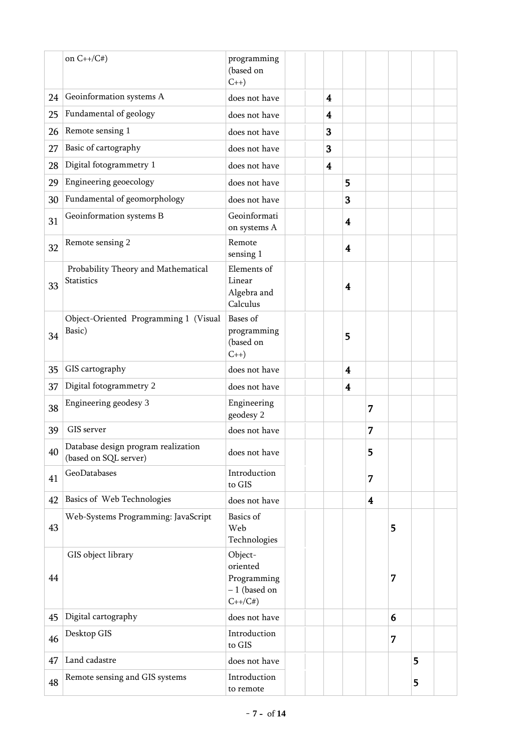|    | on $C++/C#$                                                                           | programming<br>(based on<br>$C++$                                |  |                         |                         |                         |   |   |  |
|----|---------------------------------------------------------------------------------------|------------------------------------------------------------------|--|-------------------------|-------------------------|-------------------------|---|---|--|
| 24 | Geoinformation systems A                                                              | does not have                                                    |  | $\overline{\mathbf{4}}$ |                         |                         |   |   |  |
| 25 | Fundamental of geology                                                                | does not have                                                    |  | 4                       |                         |                         |   |   |  |
| 26 | Remote sensing 1                                                                      | does not have                                                    |  | 3                       |                         |                         |   |   |  |
| 27 | Basic of cartography                                                                  | does not have                                                    |  | 3                       |                         |                         |   |   |  |
| 28 | Digital fotogrammetry 1                                                               | does not have                                                    |  | 4                       |                         |                         |   |   |  |
| 29 | Engineering geoecology                                                                | does not have                                                    |  |                         | 5                       |                         |   |   |  |
| 30 | Fundamental of geomorphology                                                          | does not have                                                    |  |                         | 3                       |                         |   |   |  |
| 31 | Geoinformation systems B                                                              | Geoinformati<br>on systems A                                     |  |                         | $\overline{\mathbf{4}}$ |                         |   |   |  |
| 32 | Remote sensing 2                                                                      | Remote<br>sensing 1                                              |  |                         | $\overline{\mathbf{4}}$ |                         |   |   |  |
| 33 | Probability Theory and Mathematical<br><b>Statistics</b>                              | Elements of<br>Linear<br>Algebra and<br>Calculus                 |  |                         | 4                       |                         |   |   |  |
| 34 | Object-Oriented Programming 1 (Visual<br>Basic)                                       | Bases of<br>programming<br>(based on<br>$C_{++}$                 |  |                         | 5                       |                         |   |   |  |
| 35 | GIS cartography                                                                       | does not have                                                    |  |                         | $\overline{\mathbf{4}}$ |                         |   |   |  |
| 37 | Digital fotogrammetry 2                                                               | does not have                                                    |  |                         | $\overline{\mathbf{4}}$ |                         |   |   |  |
| 38 | Engineering geodesy 3                                                                 | Engineering<br>geodesy 2                                         |  |                         |                         | 7                       |   |   |  |
| 39 | GIS server                                                                            | does not have                                                    |  |                         |                         | 7                       |   |   |  |
|    | 40 $\sqrt{\frac{24}{n}}$ Database design program realization<br>(based on SQL server) | does not have                                                    |  |                         |                         | 5                       |   |   |  |
| 41 | GeoDatabases                                                                          | Introduction<br>to GIS                                           |  |                         |                         | 7                       |   |   |  |
| 42 | Basics of Web Technologies                                                            | does not have                                                    |  |                         |                         | $\overline{\mathbf{4}}$ |   |   |  |
| 43 | Web-Systems Programming: JavaScript                                                   | Basics of<br>Web<br>Technologies                                 |  |                         |                         |                         | 5 |   |  |
| 44 | GIS object library                                                                    | Object-<br>oriented<br>Programming<br>$-1$ (based on<br>$C++/C#$ |  |                         |                         |                         | 7 |   |  |
| 45 | Digital cartography                                                                   | does not have                                                    |  |                         |                         |                         | 6 |   |  |
| 46 | Desktop GIS                                                                           | Introduction<br>to GIS                                           |  |                         |                         |                         | 7 |   |  |
| 47 | Land cadastre                                                                         | does not have                                                    |  |                         |                         |                         |   | 5 |  |
| 48 | Remote sensing and GIS systems                                                        | Introduction<br>to remote                                        |  |                         |                         |                         |   | 5 |  |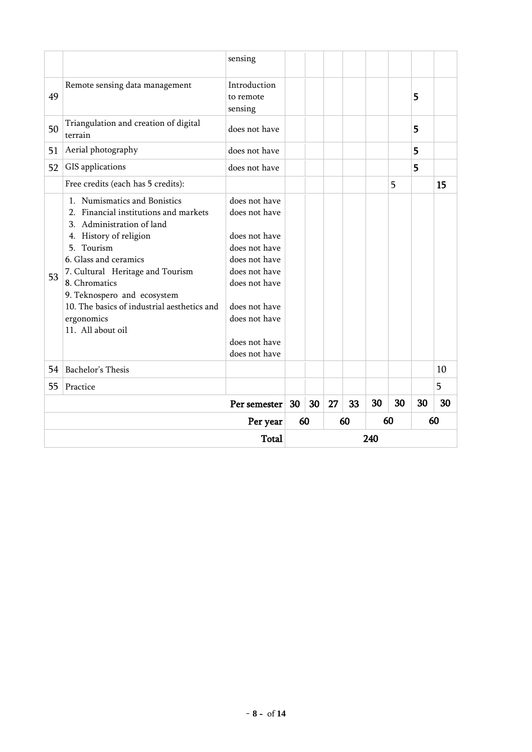|    |                                                                                                                                                                                                                                                                                                                                                   | sensing                                                                                                                                                                                 |    |    |    |    |     |    |    |    |
|----|---------------------------------------------------------------------------------------------------------------------------------------------------------------------------------------------------------------------------------------------------------------------------------------------------------------------------------------------------|-----------------------------------------------------------------------------------------------------------------------------------------------------------------------------------------|----|----|----|----|-----|----|----|----|
| 49 | Remote sensing data management                                                                                                                                                                                                                                                                                                                    | Introduction<br>to remote<br>sensing                                                                                                                                                    |    |    |    |    |     |    | 5  |    |
| 50 | Triangulation and creation of digital<br>terrain                                                                                                                                                                                                                                                                                                  | does not have                                                                                                                                                                           |    |    |    |    |     |    | 5  |    |
| 51 | Aerial photography                                                                                                                                                                                                                                                                                                                                | does not have                                                                                                                                                                           |    |    |    |    |     |    | 5  |    |
| 52 | GIS applications                                                                                                                                                                                                                                                                                                                                  | does not have                                                                                                                                                                           |    |    |    |    |     |    | 5  |    |
|    | Free credits (each has 5 credits):                                                                                                                                                                                                                                                                                                                |                                                                                                                                                                                         |    |    |    |    |     | 5  |    | 15 |
| 53 | 1. Numismatics and Bonistics<br>Financial institutions and markets<br>$2_{-}$<br>3. Administration of land<br>4. History of religion<br>5. Tourism<br>6. Glass and ceramics<br>7. Cultural Heritage and Tourism<br>8. Chromatics<br>9. Teknospero and ecosystem<br>10. The basics of industrial aesthetics and<br>ergonomics<br>11. All about oil | does not have<br>does not have<br>does not have<br>does not have<br>does not have<br>does not have<br>does not have<br>does not have<br>does not have<br>does not have<br>does not have |    |    |    |    |     |    |    |    |
| 54 | Bachelor's Thesis                                                                                                                                                                                                                                                                                                                                 |                                                                                                                                                                                         |    |    |    |    |     |    |    | 10 |
| 55 | Practice                                                                                                                                                                                                                                                                                                                                          |                                                                                                                                                                                         |    |    |    |    |     |    |    | 5  |
|    | Per semester                                                                                                                                                                                                                                                                                                                                      |                                                                                                                                                                                         | 30 | 30 | 27 | 33 | 30  | 30 | 30 | 30 |
|    | Per year                                                                                                                                                                                                                                                                                                                                          |                                                                                                                                                                                         |    | 60 |    | 60 |     | 60 |    | 60 |
|    | <b>Total</b>                                                                                                                                                                                                                                                                                                                                      |                                                                                                                                                                                         |    |    |    |    | 240 |    |    |    |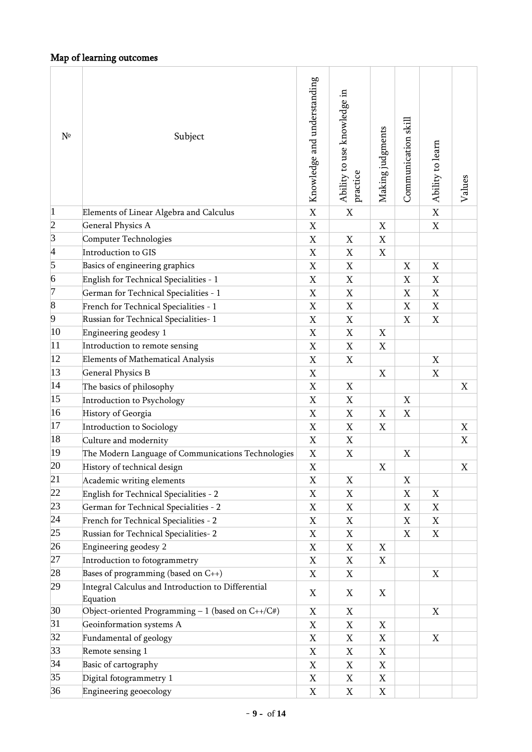# Map of learning outcomes

| $N^{\circ}$    | Subject                                                        | Knowledge and understanding | Ability to use knowledge in<br>practice | Making judgments               | Communication skill | Ability to learn | Values                    |
|----------------|----------------------------------------------------------------|-----------------------------|-----------------------------------------|--------------------------------|---------------------|------------------|---------------------------|
| $\vert$ 1      | Elements of Linear Algebra and Calculus                        | $\mathbf X$                 | $\mathbf X$                             |                                |                     | $\overline{X}$   |                           |
| $\overline{c}$ | <b>General Physics A</b>                                       | $\mathbf X$                 |                                         | $\mathbf X$                    |                     | $\mathbf X$      |                           |
| $\vert$ 3      | Computer Technologies                                          | X                           | X                                       | X                              |                     |                  |                           |
| $\vert 4$      | Introduction to GIS                                            | $\mathbf X$                 | $\mathbf X$                             | $\mathbf X$                    |                     |                  |                           |
| 5              | Basics of engineering graphics                                 | X                           | X                                       |                                | X                   | X                |                           |
| 6              | English for Technical Specialities - 1                         | $\mathbf X$                 | $\mathbf X$                             |                                | $\mathbf X$         | $\mathbf X$      |                           |
| 7              | German for Technical Specialities - 1                          | X                           | X                                       |                                | $\mathbf X$         | $\mathbf X$      |                           |
| $\overline{8}$ | French for Technical Specialities - 1                          | $\mathbf X$                 | X                                       |                                | $\mathbf X$         | $\mathbf X$      |                           |
| 9              | Russian for Technical Specialities-1                           | X                           | X                                       |                                | X                   | X                |                           |
| 10             | Engineering geodesy 1                                          | $\mathbf X$                 | X                                       | X                              |                     |                  |                           |
| 11             | Introduction to remote sensing                                 | X                           | X                                       | X                              |                     |                  |                           |
| 12             | Elements of Mathematical Analysis                              | $\mathbf X$                 | $\mathbf X$                             |                                |                     | $\mathbf X$      |                           |
| 13             | <b>General Physics B</b>                                       | X                           |                                         | X                              |                     | X                |                           |
| 14             | The basics of philosophy                                       | $\mathbf X$                 | $\mathbf X$                             |                                |                     |                  | $\boldsymbol{\mathrm{X}}$ |
| 15             | Introduction to Psychology                                     | X                           | X                                       |                                | X                   |                  |                           |
| 16             | History of Georgia                                             | $\mathbf X$                 | $\mathbf X$                             | $\mathbf X$                    | $\mathbf X$         |                  |                           |
| 17             | Introduction to Sociology                                      | X                           | X                                       | X                              |                     |                  | X                         |
| 18             | Culture and modernity                                          | $\mathbf X$                 | X                                       |                                |                     |                  | X                         |
| 19             | The Modern Language of Communications Technologies             | $\mathbf X$                 | X                                       |                                | X                   |                  |                           |
| 20             | History of technical design                                    |                             |                                         |                                |                     |                  |                           |
| 21             |                                                                | $\mathbf X$                 |                                         | $\mathbf X$                    |                     |                  | $\mathbf X$               |
| 22             | Academic writing elements                                      | X                           | X                                       |                                | X                   |                  |                           |
| 23             | English for Technical Specialities - 2                         | $\mathbf X$                 | $\mathbf X$                             |                                | $\mathbf X$         | X                |                           |
|                | German for Technical Specialities - 2                          | X                           | X                                       |                                | X                   | X                |                           |
| 24             | French for Technical Specialities - 2                          | $\mathbf X$                 | X                                       |                                | $\mathbf X$         | $\mathbf X$      |                           |
| 25             | Russian for Technical Specialities-2                           | X                           | X                                       |                                | X                   | X                |                           |
| 26             | Engineering geodesy 2                                          | $\mathbf X$                 | X                                       | X                              |                     |                  |                           |
| 27             | Introduction to fotogrammetry                                  | X                           | X                                       | X                              |                     |                  |                           |
| 28             | Bases of programming (based on $C_{++}$ )                      | X                           | X                                       |                                |                     | X                |                           |
| 29             | Integral Calculus and Introduction to Differential             | X                           | X                                       | X                              |                     |                  |                           |
| 30             | Equation<br>Object-oriented Programming $-1$ (based on C++/C#) | X                           | X                                       |                                |                     | X                |                           |
| 31             | Geoinformation systems A                                       | X                           | X                                       | X                              |                     |                  |                           |
| 32             | Fundamental of geology                                         | $\mathbf X$                 | X                                       | X                              |                     | X                |                           |
| 33             |                                                                |                             |                                         |                                |                     |                  |                           |
| 34             | Remote sensing 1<br>Basic of cartography                       | X                           | X                                       | X<br>$\boldsymbol{\mathrm{X}}$ |                     |                  |                           |
| 35             | Digital fotogrammetry 1                                        | $\mathbf X$                 | X                                       |                                |                     |                  |                           |
| 36             |                                                                | X                           | X                                       | X                              |                     |                  |                           |
|                | Engineering geoecology                                         | $\mathbf X$                 | X                                       | X                              |                     |                  |                           |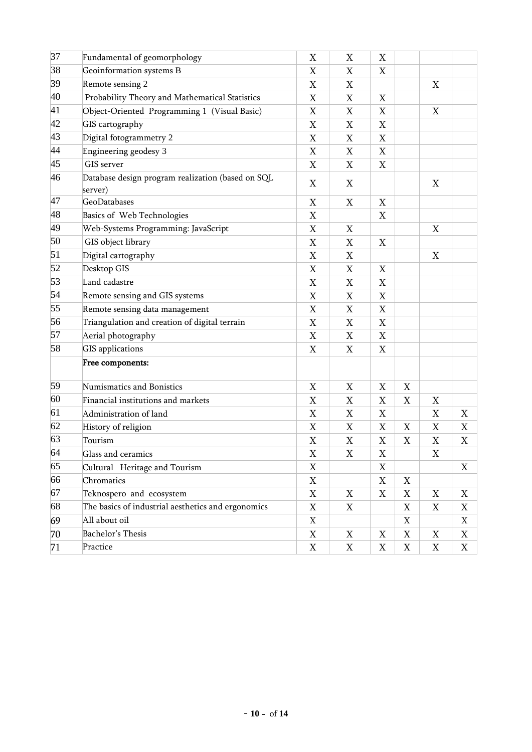| 37 | Fundamental of geomorphology                                 | X                         | X                         | X           |                           |   |   |
|----|--------------------------------------------------------------|---------------------------|---------------------------|-------------|---------------------------|---|---|
| 38 | Geoinformation systems B                                     | X                         | X                         | X           |                           |   |   |
| 39 | Remote sensing 2                                             | X                         | $\boldsymbol{\mathrm{X}}$ |             |                           | X |   |
| 40 | Probability Theory and Mathematical Statistics               | X                         | X                         | X           |                           |   |   |
| 41 | Object-Oriented Programming 1 (Visual Basic)                 | X                         | X                         | $\mathbf X$ |                           | X |   |
| 42 | GIS cartography                                              | X                         | X                         | X           |                           |   |   |
| 43 | Digital fotogrammetry 2                                      | X                         | X                         | X           |                           |   |   |
| 44 | Engineering geodesy 3                                        | X                         | X                         | X           |                           |   |   |
| 45 | GIS server                                                   | X                         | X                         | X           |                           |   |   |
| 46 | Database design program realization (based on SQL<br>server) | X                         | X                         |             |                           | X |   |
| 47 | GeoDatabases                                                 | X                         | $\boldsymbol{\mathrm{X}}$ | X           |                           |   |   |
| 48 | Basics of Web Technologies                                   | X                         |                           | X           |                           |   |   |
| 49 | Web-Systems Programming: JavaScript                          | X                         | X                         |             |                           | X |   |
| 50 | GIS object library                                           | X                         | X                         | X           |                           |   |   |
| 51 | Digital cartography                                          | X                         | $\boldsymbol{\mathrm{X}}$ |             |                           | X |   |
| 52 | Desktop GIS                                                  | X                         | X                         | X           |                           |   |   |
| 53 | Land cadastre                                                | X                         | X                         | X           |                           |   |   |
| 54 | Remote sensing and GIS systems                               | X                         | X                         | X           |                           |   |   |
| 55 | Remote sensing data management                               | X                         | $\boldsymbol{\mathrm{X}}$ | X           |                           |   |   |
| 56 | Triangulation and creation of digital terrain                | X                         | X                         | X           |                           |   |   |
| 57 | Aerial photography                                           | X                         | X                         | X           |                           |   |   |
| 58 | <b>GIS</b> applications                                      | X                         | X                         | X           |                           |   |   |
|    | Free components:                                             |                           |                           |             |                           |   |   |
| 59 | Numismatics and Bonistics                                    | X                         | X                         | X           | X                         |   |   |
| 60 | Financial institutions and markets                           | $\boldsymbol{\mathrm{X}}$ | X                         | X           | X                         | X |   |
| 61 | Administration of land                                       | X                         | X                         | X           |                           | X | X |
| 62 | History of religion                                          | X                         | X                         | X           | X                         | X | X |
| 63 | Tourism                                                      | X                         | $\boldsymbol{\mathrm{X}}$ | X           | $\boldsymbol{\mathrm{X}}$ | X | X |
| 64 | Glass and ceramics                                           | X                         | X                         | X           |                           | X |   |
| 65 | Cultural Heritage and Tourism                                | X                         |                           | X           |                           |   | X |
| 66 | Chromatics                                                   | $\mathbf X$               |                           | X           | X                         |   |   |
| 67 | Teknospero and ecosystem                                     | X                         | X                         | X           | X                         | X | X |
| 68 | The basics of industrial aesthetics and ergonomics           | $\mathbf X$               | X                         |             | X                         | X | X |
| 69 | All about oil                                                | X                         |                           |             | X                         |   | X |
| 70 | Bachelor's Thesis                                            | X                         | X                         | X           | X                         | X | X |
| 71 | Practice                                                     | X                         | X                         | X           | X                         | X | X |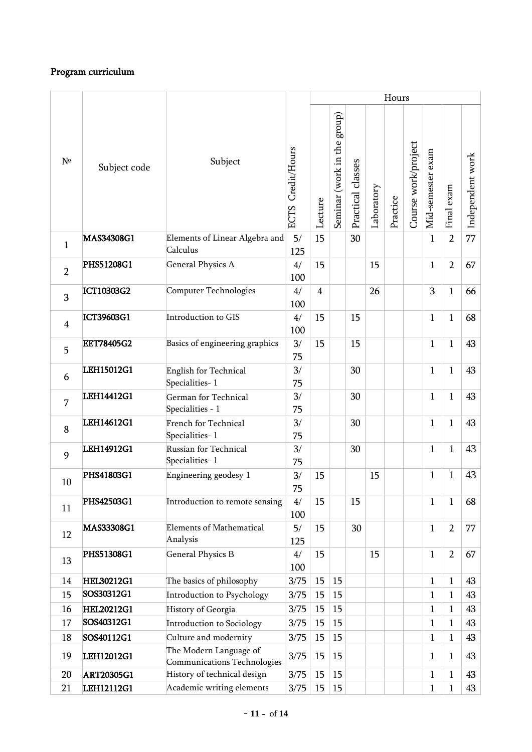## Program curriculum

|                |                   |                                                       |                   |                |                             |                   |            | Hours    |                     |                   |                |                  |
|----------------|-------------------|-------------------------------------------------------|-------------------|----------------|-----------------------------|-------------------|------------|----------|---------------------|-------------------|----------------|------------------|
| $N^{\circ}$    | Subject code      | Subject                                               | ECTS Credit/Hours | Lecture        | Seminar (work in the group) | Practical classes | Laboratory | Practice | Course work/project | Mid-semester exam | Final exam     | Independent work |
| $\mathbf{1}$   | MAS34308G1        | Elements of Linear Algebra and<br>Calculus            | 5/<br>125         | 15             |                             | 30                |            |          |                     | $\mathbf{1}$      | $\overline{2}$ | 77               |
| $\overline{2}$ | PHS51208G1        | <b>General Physics A</b>                              | 4/<br>100         | 15             |                             |                   | 15         |          |                     | $\mathbf{1}$      | $\overline{2}$ | 67               |
| 3              | ICT10303G2        | Computer Technologies                                 | 4/<br>100         | $\overline{4}$ |                             |                   | 26         |          |                     | 3                 | $\mathbf{1}$   | 66               |
| $\overline{4}$ | ICT39603G1        | Introduction to GIS                                   | 4/<br>100         | 15             |                             | 15                |            |          |                     | $\mathbf{1}$      | $\mathbf{1}$   | 68               |
| 5              | <b>EET78405G2</b> | Basics of engineering graphics                        | 3/<br>75          | 15             |                             | 15                |            |          |                     | $\mathbf{1}$      | 1              | 43               |
| 6              | LEH15012G1        | English for Technical<br>Specialities-1               | 3/<br>75          |                |                             | 30                |            |          |                     | $\mathbf{1}$      | 1              | 43               |
| 7              | LEH14412G1        | German for Technical<br>Specialities - 1              | 3/<br>75          |                |                             | 30                |            |          |                     | $\mathbf{1}$      | $\mathbf{1}$   | 43               |
| 8              | LEH14612G1        | French for Technical<br>Specialities-1                | 3/<br>75          |                |                             | 30                |            |          |                     | $\mathbf{1}$      | 1              | 43               |
| 9              | LEH14912G1        | Russian for Technical<br>Specialities-1               | 3/<br>75          |                |                             | 30                |            |          |                     | $\mathbf{1}$      | 1              | 43               |
| 10             | PHS41803G1        | Engineering geodesy 1                                 | 3/<br>75          | 15             |                             |                   | 15         |          |                     | $\mathbf{1}$      | $\mathbf{1}$   | 43               |
| 11             | PHS42503G1        | Introduction to remote sensing                        | 4/<br>100         | 15             |                             | 15                |            |          |                     | $\mathbf{1}$      | 1              | 68               |
| 12             | MAS33308G1        | <b>Elements of Mathematical</b><br>Analysis           | 5/<br>125         | 15             |                             | 30                |            |          |                     | $\mathbf{1}$      | $\overline{2}$ | 77               |
| 13             | PHS51308G1        | <b>General Physics B</b>                              | 4/<br>100         | 15             |                             |                   | 15         |          |                     | $\mathbf{1}$      | $\overline{2}$ | 67               |
| 14             | <b>HEL30212G1</b> | The basics of philosophy                              | 3/75              | 15             | 15                          |                   |            |          |                     | $\mathbf{1}$      | $\mathbf{1}$   | 43               |
| 15             | SOS30312G1        | Introduction to Psychology                            | 3/75              | 15             | 15                          |                   |            |          |                     | $\mathbf{1}$      | 1              | 43               |
| 16             | <b>HEL20212G1</b> | History of Georgia                                    | 3/75              | 15             | 15                          |                   |            |          |                     | $\mathbf{1}$      | 1              | 43               |
| 17             | SOS40312G1        | Introduction to Sociology                             | 3/75              | 15             | 15                          |                   |            |          |                     | $\mathbf{1}$      | 1              | 43               |
| 18             | SOS40112G1        | Culture and modernity                                 | 3/75              | 15             | 15                          |                   |            |          |                     | $\mathbf{1}$      | 1              | 43               |
| 19             | LEH12012G1        | The Modern Language of<br>Communications Technologies | 3/75              | 15             | 15                          |                   |            |          |                     | $\mathbf{1}$      | 1              | 43               |
| 20             | <b>ART20305G1</b> | History of technical design                           | 3/75              | 15             | 15                          |                   |            |          |                     | $\mathbf{1}$      | 1              | 43               |
| 21             | LEH12112G1        | Academic writing elements                             | 3/75              | 15             | 15                          |                   |            |          |                     | $\mathbf{1}$      | $\mathbf 1$    | 43               |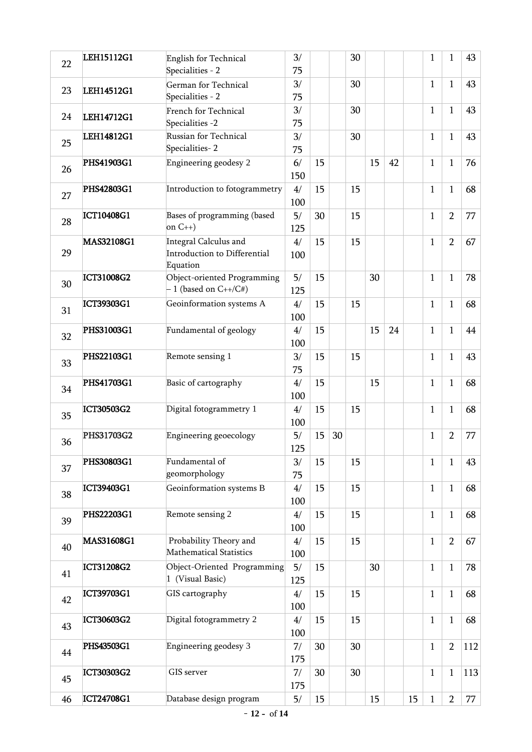| 22 | LEH15112G1        | English for Technical                                             | 3/        |    |    | 30 |    |    |    | $\mathbf{1}$ | $\mathbf{1}$   | 43  |
|----|-------------------|-------------------------------------------------------------------|-----------|----|----|----|----|----|----|--------------|----------------|-----|
|    |                   | Specialities - 2                                                  | 75        |    |    |    |    |    |    |              |                |     |
| 23 | LEH14512G1        | German for Technical<br>Specialities - 2                          | 3/<br>75  |    |    | 30 |    |    |    | $\mathbf{1}$ | 1              | 43  |
| 24 | LEH14712G1        | <b>French for Technical</b><br>Specialities -2                    | 3/<br>75  |    |    | 30 |    |    |    | $\mathbf{1}$ | 1              | 43  |
| 25 | LEH14812G1        | Russian for Technical<br>Specialities-2                           | 3/<br>75  |    |    | 30 |    |    |    | $\mathbf{1}$ | $\mathbf{1}$   | 43  |
| 26 | PHS41903G1        | Engineering geodesy 2                                             | 6/<br>150 | 15 |    |    | 15 | 42 |    | $\mathbf{1}$ | $\mathbf{1}$   | 76  |
| 27 | PHS42803G1        | Introduction to fotogrammetry                                     | 4/<br>100 | 15 |    | 15 |    |    |    | $\mathbf{1}$ | $\mathbf{1}$   | 68  |
| 28 | ICT10408G1        | Bases of programming (based<br>on $C_{++}$ )                      | 5/<br>125 | 30 |    | 15 |    |    |    | $\mathbf{1}$ | $\overline{2}$ | 77  |
| 29 | MAS32108G1        | Integral Calculus and<br>Introduction to Differential<br>Equation | 4/<br>100 | 15 |    | 15 |    |    |    | $\mathbf{1}$ | $\overline{2}$ | 67  |
| 30 | ICT31008G2        | Object-oriented Programming<br>$-1$ (based on $C++/C#$ )          | 5/<br>125 | 15 |    |    | 30 |    |    | $\mathbf{1}$ | $\mathbf{1}$   | 78  |
| 31 | ICT39303G1        | Geoinformation systems A                                          | 4/<br>100 | 15 |    | 15 |    |    |    | $\mathbf{1}$ | $\mathbf{1}$   | 68  |
| 32 | PHS31003G1        | Fundamental of geology                                            | 4/<br>100 | 15 |    |    | 15 | 24 |    | $\mathbf{1}$ | $\mathbf{1}$   | 44  |
| 33 | PHS22103G1        | Remote sensing 1                                                  | 3/<br>75  | 15 |    | 15 |    |    |    | $\mathbf{1}$ | $\mathbf{1}$   | 43  |
| 34 | PHS41703G1        | Basic of cartography                                              | 4/<br>100 | 15 |    |    | 15 |    |    | $\mathbf{1}$ | $\mathbf{1}$   | 68  |
| 35 | ICT30503G2        | Digital fotogrammetry 1                                           | 4/<br>100 | 15 |    | 15 |    |    |    | $\mathbf{1}$ | $\mathbf{1}$   | 68  |
| 36 | PHS31703G2        | Engineering geoecology                                            | 5/<br>125 | 15 | 30 |    |    |    |    | $\mathbf{1}$ | $\overline{2}$ | 77  |
| 37 | PHS30803G1        | Fundamental of<br>geomorphology                                   | 3/<br>75  | 15 |    | 15 |    |    |    | $\mathbf{1}$ | $\mathbf{1}$   | 43  |
| 38 | ICT39403G1        | Geoinformation systems B                                          | 4/<br>100 | 15 |    | 15 |    |    |    | $\mathbf{1}$ | $\mathbf{1}$   | 68  |
| 39 | PHS22203G1        | Remote sensing 2                                                  | 4/<br>100 | 15 |    | 15 |    |    |    | $\mathbf{1}$ | $\mathbf{1}$   | 68  |
| 40 | MAS31608G1        | Probability Theory and<br>Mathematical Statistics                 | 4/<br>100 | 15 |    | 15 |    |    |    | $\mathbf{1}$ | $\overline{2}$ | 67  |
| 41 | <b>ICT31208G2</b> | Object-Oriented Programming<br>1 (Visual Basic)                   | 5/<br>125 | 15 |    |    | 30 |    |    | $\mathbf{1}$ | $\mathbf{1}$   | 78  |
| 42 | ICT39703G1        | GIS cartography                                                   | 4/<br>100 | 15 |    | 15 |    |    |    | $\mathbf{1}$ | $\mathbf{1}$   | 68  |
| 43 | ICT30603G2        | Digital fotogrammetry 2                                           | 4/<br>100 | 15 |    | 15 |    |    |    | $\mathbf{1}$ | $\mathbf{1}$   | 68  |
| 44 | PHS43503G1        | Engineering geodesy 3                                             | 7/<br>175 | 30 |    | 30 |    |    |    | $\mathbf{1}$ | $\overline{2}$ | 112 |
| 45 | <b>ICT30303G2</b> | GIS server                                                        | 7/<br>175 | 30 |    | 30 |    |    |    | $\mathbf{1}$ | $\mathbf{1}$   | 113 |
| 46 | ICT24708G1        | Database design program                                           | 5/        | 15 |    |    | 15 |    | 15 | $\mathbf{1}$ | $\overline{2}$ | 77  |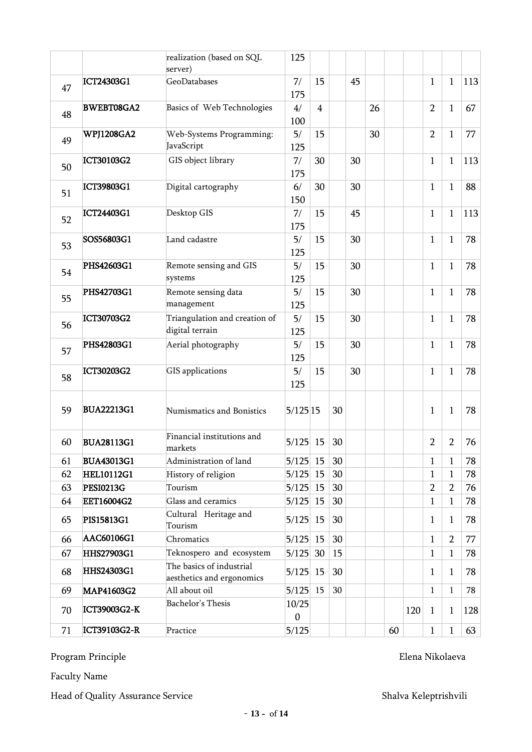|    |                     | realization (based on SQL                             | 125                   |                |    |        |    |    |     |                |                |     |
|----|---------------------|-------------------------------------------------------|-----------------------|----------------|----|--------|----|----|-----|----------------|----------------|-----|
|    |                     | server)                                               |                       |                |    |        |    |    |     |                |                |     |
| 47 | ICT24303G1          | GeoDatabases                                          | 7/<br>175             | 15             |    | 45     |    |    |     | $\mathbf{1}$   | $\mathbf{1}$   | 113 |
| 48 | <b>BWEBT08GA2</b>   | Basics of Web Technologies                            | 4/<br>100             | $\overline{4}$ |    |        | 26 |    |     | $\overline{2}$ | $\mathbf{1}$   | 67  |
| 49 | <b>WPJ1208GA2</b>   | Web-Systems Programming:<br>JavaScript                | 5/<br>125             | 15             |    |        | 30 |    |     | $\overline{2}$ | 1              | 77  |
| 50 | ICT30103G2          | GIS object library                                    | 7/<br>175             | 30             |    | 30     |    |    |     | $\mathbf{1}$   | $\mathbf{1}$   | 113 |
| 51 | ICT39803G1          | Digital cartography                                   | 6/<br>150             | 30             |    | 30     |    |    |     | $\mathbf{1}$   | $\mathbf{1}$   | 88  |
| 52 | ICT24403G1          | Desktop GIS                                           | 7/<br>175             | 15             |    | 45     |    |    |     | $\mathbf{1}$   | $\mathbf{1}$   | 113 |
| 53 | SOS56803G1          | Land cadastre                                         | 5/<br>125             | 15             |    | 30     |    |    |     | $\mathbf{1}$   | $\mathbf{1}$   | 78  |
| 54 | PHS42603G1          | Remote sensing and GIS<br>systems                     | 5/<br>125             | 15             |    | $30\,$ |    |    |     | $\mathbf{1}$   | $\mathbf{1}$   | 78  |
| 55 | PHS42703G1          | Remote sensing data<br>management                     | 5/<br>125             | 15             |    | 30     |    |    |     | $\mathbf{1}$   | 1              | 78  |
| 56 | ICT30703G2          | Triangulation and creation of<br>digital terrain      | 5/<br>125             | 15             |    | 30     |    |    |     | $\mathbf{1}$   | $\mathbf{1}$   | 78  |
| 57 | PHS42803G1          | Aerial photography                                    | 5/<br>125             | 15             |    | 30     |    |    |     | $\mathbf{1}$   | $\mathbf{1}$   | 78  |
| 58 | <b>ICT30203G2</b>   | GIS applications                                      | 5/<br>125             | 15             |    | 30     |    |    |     | $\mathbf{1}$   | $\mathbf{1}$   | 78  |
| 59 | <b>BUA22213G1</b>   | Numismatics and Bonistics                             | $5/125$ <sup>15</sup> |                | 30 |        |    |    |     | $\mathbf{1}$   | $\mathbf{1}$   | 78  |
| 60 | <b>BUA28113G1</b>   | Financial institutions and<br>markets                 | $5/125$ 15            |                | 30 |        |    |    |     | $\overline{2}$ | $\overline{2}$ | 76  |
| 61 | <b>BUA43013G1</b>   | Administration of land                                | $5/125$ 15            |                | 30 |        |    |    |     | $\mathbf{1}$   | 1              | 78  |
| 62 | <b>HEL10112G1</b>   | History of religion                                   | 5/125                 | 15             | 30 |        |    |    |     | $\mathbf{1}$   | 1              | 78  |
| 63 | <b>PESI0213G</b>    | Tourism                                               | 5/125                 | 15             | 30 |        |    |    |     | $\overline{2}$ | $\overline{2}$ | 76  |
| 64 | <b>EET16004G2</b>   | Glass and ceramics                                    | 5/125                 | 15             | 30 |        |    |    |     | $\mathbf{1}$   | 1              | 78  |
| 65 | PIS15813G1          | Cultural Heritage and<br>Tourism                      | 5/125                 | 15             | 30 |        |    |    |     | $\mathbf{1}$   | 1              | 78  |
| 66 | AAC60106G1          | Chromatics                                            | 5/125                 | 15             | 30 |        |    |    |     | $\mathbf{1}$   | $\overline{2}$ | 77  |
| 67 | HHS27903G1          | Teknospero and ecosystem                              | 5/125                 | 30             | 15 |        |    |    |     | $\mathbf{1}$   | 1              | 78  |
| 68 | <b>HHS24303G1</b>   | The basics of industrial<br>aesthetics and ergonomics | 5/125                 | 15             | 30 |        |    |    |     | $\mathbf{1}$   | 1              | 78  |
| 69 | MAP41603G2          | All about oil                                         | 5/125                 | 15             | 30 |        |    |    |     | $\mathbf{1}$   | 1              | 78  |
| 70 | <b>ICT39003G2-K</b> | Bachelor's Thesis                                     | 10/25<br>$\mathbf{0}$ |                |    |        |    |    | 120 | $\mathbf{1}$   | 1              | 128 |
| 71 | ICT39103G2-R        | Practice                                              | 5/125                 |                |    |        |    | 60 |     | $\mathbf{1}$   | $\mathbf{1}$   | 63  |

Program Principle Elena Nikolaeva

Faculty Name

Head of Quality Assurance Service Shalva Keleptrishvili